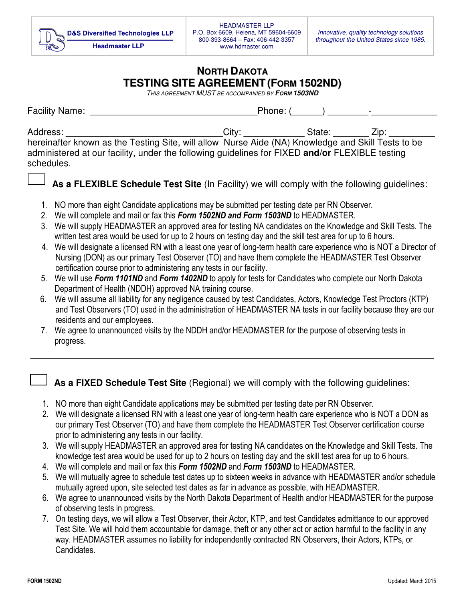## **NORTH DAKOTA TESTING SITE AGREEMENT (FORM 1502ND)**

THIS AGREEMENT MUST BE ACCOMPANIED BY **FORM 1503ND** 

| <b>Facility Name:</b>                                                                                                                                                                                                         | Phone: ( |        | $\overline{\phantom{0}}$ |
|-------------------------------------------------------------------------------------------------------------------------------------------------------------------------------------------------------------------------------|----------|--------|--------------------------|
| Address:<br>hereinafter known as the Testing Site, will allow Nurse Aide (NA) Knowledge and Skill Tests to be<br>administered at our facility, under the following guidelines for FIXED and/or FLEXIBLE testing<br>schedules. | City:    | State: | $\angle$ ID:             |

**As a FLEXIBLE Schedule Test Site** (In Facility) we will comply with the following guidelines:

- 1. NO more than eight Candidate applications may be submitted per testing date per RN Observer.
- 2. We will complete and mail or fax this *Form 1502ND and Form 1503ND* to HEADMASTER.
- 3. We will supply HEADMASTER an approved area for testing NA candidates on the Knowledge and Skill Tests. The written test area would be used for up to 2 hours on testing day and the skill test area for up to 6 hours.
- 4. We will designate a licensed RN with a least one year of long-term health care experience who is NOT a Director of Nursing (DON) as our primary Test Observer (TO) and have them complete the HEADMASTER Test Observer certification course prior to administering any tests in our facility.
- 5. We will use *Form 1101ND* and *Form 1402ND* to apply for tests for Candidates who complete our North Dakota Department of Health (NDDH) approved NA training course.
- 6. We will assume all liability for any negligence caused by test Candidates, Actors, Knowledge Test Proctors (KTP) and Test Observers (TO) used in the administration of HEADMASTER NA tests in our facility because they are our residents and our employees.
- 7. We agree to unannounced visits by the NDDH and/or HEADMASTER for the purpose of observing tests in progress.
	- **As a FIXED Schedule Test Site** (Regional) we will comply with the following guidelines:
- 1. NO more than eight Candidate applications may be submitted per testing date per RN Observer.
- 2. We will designate a licensed RN with a least one year of long-term health care experience who is NOT a DON as our primary Test Observer (TO) and have them complete the HEADMASTER Test Observer certification course prior to administering any tests in our facility.
- 3. We will supply HEADMASTER an approved area for testing NA candidates on the Knowledge and Skill Tests. The knowledge test area would be used for up to 2 hours on testing day and the skill test area for up to 6 hours.
- 4. We will complete and mail or fax this *Form 1502ND* and *Form 1503ND* to HEADMASTER.
- 5. We will mutually agree to schedule test dates up to sixteen weeks in advance with HEADMASTER and/or schedule mutually agreed upon, site selected test dates as far in advance as possible, with HEADMASTER.
- 6. We agree to unannounced visits by the North Dakota Department of Health and/or HEADMASTER for the purpose of observing tests in progress.
- 7. On testing days, we will allow a Test Observer, their Actor, KTP, and test Candidates admittance to our approved Test Site. We will hold them accountable for damage, theft or any other act or action harmful to the facility in any way. HEADMASTER assumes no liability for independently contracted RN Observers, their Actors, KTPs, or Candidates.